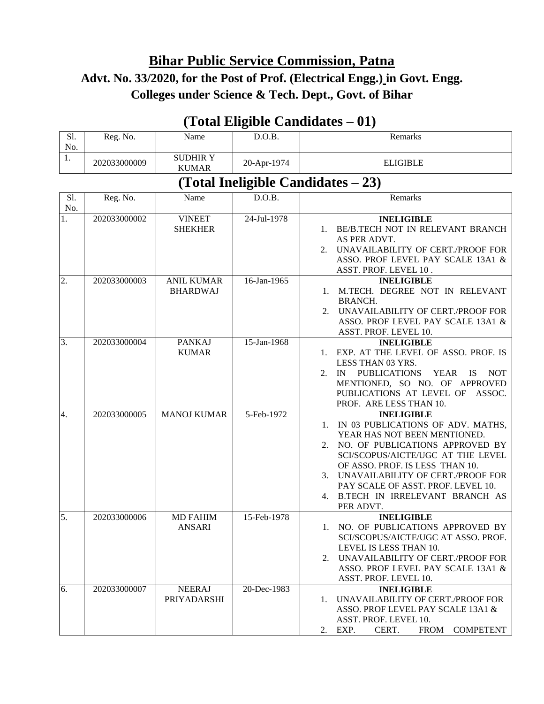## **Bihar Public Service Commission, Patna**

**Advt. No. 33/2020, for the Post of Prof. (Electrical Engg.) in Govt. Engg. Colleges under Science & Tech. Dept., Govt. of Bihar**

## Sl. No. Reg. No. Name D.O.B. No. Remarks 1. 202033000009 SUDHIR Y 20-Apr-1974 ELIGIBLE **(Total Ineligible Candidates – 23)**  $\overline{S}$ No. Reg. No. Name D.O.B. No. Remarks 1. 202033000002 VINEET SHEKHER 24-Jul-1978 **INELIGIBLE** 1. BE/B.TECH NOT IN RELEVANT BRANCH AS PER ADVT. 2. UNAVAILABILITY OF CERT./PROOF FOR ASSO. PROF LEVEL PAY SCALE 13A1 & ASST. PROF. LEVEL 10 . 2. 202033000003 ANIL KUMAR BHARDWAJ 16-Jan-1965 **INELIGIBLE** 1. M.TECH. DEGREE NOT IN RELEVANT BRANCH. 2. UNAVAILABILITY OF CERT./PROOF FOR ASSO. PROF LEVEL PAY SCALE 13A1 & ASST. PROF. LEVEL 10. 3. 202033000004 PANKAJ KUMAR 15-Jan-1968 **INELIGIBLE** 1. EXP. AT THE LEVEL OF ASSO. PROF. IS LESS THAN 03 YRS. 2. IN PUBLICATIONS YEAR IS NOT MENTIONED, SO NO. OF APPROVED PUBLICATIONS AT LEVEL OF ASSOC. PROF. ARE LESS THAN 10. 4. 202033000005 MANOJ KUMAR 5-Feb-1972 **INELIGIBLE** 1. IN 03 PUBLICATIONS OF ADV. MATHS, YEAR HAS NOT BEEN MENTIONED. 2. NO. OF PUBLICATIONS APPROVED BY SCI/SCOPUS/AICTE/UGC AT THE LEVEL OF ASSO. PROF. IS LESS THAN 10. 3. UNAVAILABILITY OF CERT./PROOF FOR PAY SCALE OF ASST. PROF. LEVEL 10. 4. B.TECH IN IRRELEVANT BRANCH AS PER ADVT. 5. 202033000006 MD FAHIM ANSARI 15-Feb-1978 **INELIGIBLE** 1. NO. OF PUBLICATIONS APPROVED BY SCI/SCOPUS/AICTE/UGC AT ASSO. PROF. LEVEL IS LESS THAN 10. 2. UNAVAILABILITY OF CERT./PROOF FOR ASSO. PROF LEVEL PAY SCALE 13A1 & ASST. PROF. LEVEL 10. 6. 202033000007 NEERAJ PRIYADARSHI 20-Dec-1983 **INELIGIBLE** 1. UNAVAILABILITY OF CERT./PROOF FOR ASSO. PROF LEVEL PAY SCALE 13A1 & ASST. PROF. LEVEL 10. 2. EXP. CERT. FROM COMPETENT

## **(Total Eligible Candidates – 01)**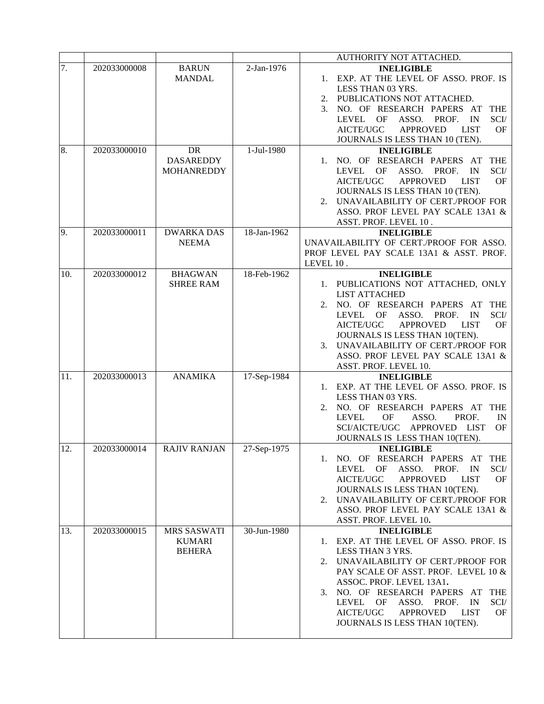|     |              |                     |             | AUTHORITY NOT ATTACHED.                                             |
|-----|--------------|---------------------|-------------|---------------------------------------------------------------------|
| 7.  | 202033000008 | <b>BARUN</b>        | 2-Jan-1976  | <b>INELIGIBLE</b>                                                   |
|     |              | <b>MANDAL</b>       |             | EXP. AT THE LEVEL OF ASSO. PROF. IS<br>1.                           |
|     |              |                     |             | LESS THAN 03 YRS.                                                   |
|     |              |                     |             | 2. PUBLICATIONS NOT ATTACHED.                                       |
|     |              |                     |             | NO. OF RESEARCH PAPERS AT<br><b>THE</b><br>3.                       |
|     |              |                     |             | LEVEL<br>OF<br>ASSO. PROF.<br>IN<br>SCI/                            |
|     |              |                     |             | <b>APPROVED</b><br><b>LIST</b><br>AICTE/UGC<br>OF                   |
|     |              |                     |             | JOURNALS IS LESS THAN 10 (TEN).                                     |
| 8.  | 202033000010 | DR                  | 1-Jul-1980  | <b>INELIGIBLE</b>                                                   |
|     |              | <b>DASAREDDY</b>    |             | NO. OF RESEARCH PAPERS AT<br><b>THE</b><br>1.                       |
|     |              | <b>MOHANREDDY</b>   |             | LEVEL<br>OF<br>ASSO.<br>PROF.<br>IN<br>SCI/                         |
|     |              |                     |             | <b>APPROVED</b><br>OF<br>AICTE/UGC<br><b>LIST</b>                   |
|     |              |                     |             | JOURNALS IS LESS THAN 10 (TEN).                                     |
|     |              |                     |             | UNAVAILABILITY OF CERT./PROOF FOR<br>2.                             |
|     |              |                     |             | ASSO. PROF LEVEL PAY SCALE 13A1 &                                   |
|     |              |                     |             | ASST. PROF. LEVEL 10.                                               |
| 9.  | 202033000011 | <b>DWARKA DAS</b>   | 18-Jan-1962 | <b>INELIGIBLE</b>                                                   |
|     |              | <b>NEEMA</b>        |             | UNAVAILABILITY OF CERT./PROOF FOR ASSO.                             |
|     |              |                     |             | PROF LEVEL PAY SCALE 13A1 & ASST. PROF.                             |
|     |              | <b>BHAGWAN</b>      | 18-Feb-1962 | LEVEL 10.<br><b>INELIGIBLE</b>                                      |
| 10. | 202033000012 | <b>SHREE RAM</b>    |             | 1. PUBLICATIONS NOT ATTACHED, ONLY                                  |
|     |              |                     |             | <b>LIST ATTACHED</b>                                                |
|     |              |                     |             | NO. OF RESEARCH PAPERS AT THE<br>2.                                 |
|     |              |                     |             | SCI/<br>LEVEL<br>OF<br>ASSO.<br>PROF.<br>IN                         |
|     |              |                     |             | <b>APPROVED</b><br><b>OF</b><br>AICTE/UGC<br><b>LIST</b>            |
|     |              |                     |             | JOURNALS IS LESS THAN 10(TEN).                                      |
|     |              |                     |             | UNAVAILABILITY OF CERT./PROOF FOR<br>3.                             |
|     |              |                     |             | ASSO. PROF LEVEL PAY SCALE 13A1 &                                   |
|     |              |                     |             | ASST. PROF. LEVEL 10.                                               |
| 11. | 202033000013 | <b>ANAMIKA</b>      | 17-Sep-1984 | <b>INELIGIBLE</b>                                                   |
|     |              |                     |             | 1. EXP. AT THE LEVEL OF ASSO. PROF. IS                              |
|     |              |                     |             | LESS THAN 03 YRS.                                                   |
|     |              |                     |             | NO. OF RESEARCH PAPERS AT THE<br>2.                                 |
|     |              |                     |             | ASSO.<br><b>LEVEL</b><br>OF<br>PROF.<br>IN                          |
|     |              |                     |             | SCI/AICTE/UGC APPROVED LIST<br>OF                                   |
|     |              |                     |             | JOURNALS IS LESS THAN 10(TEN).                                      |
| 12. | 202033000014 | <b>RAJIV RANJAN</b> | 27-Sep-1975 | <b>INELIGIBLE</b>                                                   |
|     |              |                     |             | 1. NO. OF RESEARCH PAPERS AT<br><b>THE</b>                          |
|     |              |                     |             | ASSO.<br>SCI/<br>LEVEL<br>OF<br>PROF.<br>IN                         |
|     |              |                     |             | <b>APPROVED</b><br><b>LIST</b><br>AICTE/UGC<br>OF                   |
|     |              |                     |             | JOURNALS IS LESS THAN 10(TEN).<br>UNAVAILABILITY OF CERT./PROOF FOR |
|     |              |                     |             | 2.<br>ASSO. PROF LEVEL PAY SCALE 13A1 &                             |
|     |              |                     |             | ASST. PROF. LEVEL 10.                                               |
| 13. | 202033000015 | MRS SASWATI         | 30-Jun-1980 | <b>INELIGIBLE</b>                                                   |
|     |              | <b>KUMARI</b>       |             | 1. EXP. AT THE LEVEL OF ASSO. PROF. IS                              |
|     |              | <b>BEHERA</b>       |             | LESS THAN 3 YRS.                                                    |
|     |              |                     |             | 2. UNAVAILABILITY OF CERT./PROOF FOR                                |
|     |              |                     |             | PAY SCALE OF ASST. PROF. LEVEL 10 &                                 |
|     |              |                     |             | ASSOC. PROF. LEVEL 13A1.                                            |
|     |              |                     |             | 3. NO. OF RESEARCH PAPERS AT<br><b>THE</b>                          |
|     |              |                     |             | ASSO.<br>SCI/<br>LEVEL<br>OF<br>PROF.<br>IN                         |
|     |              |                     |             | AICTE/UGC<br><b>APPROVED</b><br><b>LIST</b><br>OF                   |
|     |              |                     |             | JOURNALS IS LESS THAN 10(TEN).                                      |
|     |              |                     |             |                                                                     |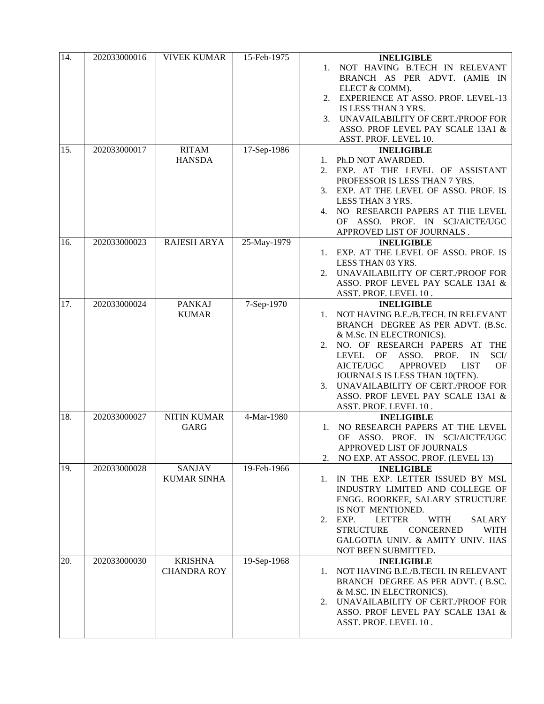| 14. | 202033000016 | <b>VIVEK KUMAR</b> | 15-Feb-1975 | <b>INELIGIBLE</b>                                                         |
|-----|--------------|--------------------|-------------|---------------------------------------------------------------------------|
|     |              |                    |             | 1. NOT HAVING B.TECH IN RELEVANT                                          |
|     |              |                    |             | BRANCH AS PER ADVT. (AMIE IN                                              |
|     |              |                    |             | ELECT & COMM).                                                            |
|     |              |                    |             | 2. EXPERIENCE AT ASSO. PROF. LEVEL-13                                     |
|     |              |                    |             | IS LESS THAN 3 YRS.                                                       |
|     |              |                    |             | 3. UNAVAILABILITY OF CERT./PROOF FOR                                      |
|     |              |                    |             | ASSO. PROF LEVEL PAY SCALE 13A1 &                                         |
|     |              |                    |             | ASST. PROF. LEVEL 10.                                                     |
| 15. | 202033000017 | <b>RITAM</b>       | 17-Sep-1986 | <b>INELIGIBLE</b>                                                         |
|     |              | <b>HANSDA</b>      |             | Ph.D NOT AWARDED.<br>1.                                                   |
|     |              |                    |             | EXP. AT THE LEVEL OF ASSISTANT<br>2.                                      |
|     |              |                    |             | PROFESSOR IS LESS THAN 7 YRS.                                             |
|     |              |                    |             | EXP. AT THE LEVEL OF ASSO. PROF. IS<br>3.                                 |
|     |              |                    |             | LESS THAN 3 YRS.                                                          |
|     |              |                    |             | 4. NO RESEARCH PAPERS AT THE LEVEL                                        |
|     |              |                    |             | OF ASSO. PROF. IN SCI/AICTE/UGC                                           |
|     |              |                    |             | APPROVED LIST OF JOURNALS.                                                |
| 16. | 202033000023 | <b>RAJESH ARYA</b> | 25-May-1979 | <b>INELIGIBLE</b>                                                         |
|     |              |                    |             | 1. EXP. AT THE LEVEL OF ASSO. PROF. IS                                    |
|     |              |                    |             | LESS THAN 03 YRS.                                                         |
|     |              |                    |             | 2. UNAVAILABILITY OF CERT./PROOF FOR                                      |
|     |              |                    |             | ASSO. PROF LEVEL PAY SCALE 13A1 &                                         |
|     |              |                    |             | ASST. PROF. LEVEL 10.                                                     |
| 17. | 202033000024 | <b>PANKAJ</b>      | 7-Sep-1970  | <b>INELIGIBLE</b>                                                         |
|     |              | <b>KUMAR</b>       |             | NOT HAVING B.E./B.TECH. IN RELEVANT<br>1.                                 |
|     |              |                    |             | BRANCH DEGREE AS PER ADVT. (B.Sc.                                         |
|     |              |                    |             | & M.Sc. IN ELECTRONICS).                                                  |
|     |              |                    |             | NO. OF RESEARCH PAPERS<br>AT<br><b>THE</b><br>2.                          |
|     |              |                    |             | <b>LEVEL</b><br>ASSO. PROF.<br>SCI/<br>OF<br>IN                           |
|     |              |                    |             | AICTE/UGC<br><b>APPROVED</b><br><b>LIST</b><br>OF                         |
|     |              |                    |             | JOURNALS IS LESS THAN 10(TEN).<br>UNAVAILABILITY OF CERT./PROOF FOR<br>3. |
|     |              |                    |             | ASSO. PROF LEVEL PAY SCALE 13A1 &                                         |
|     |              |                    |             | ASST. PROF. LEVEL 10.                                                     |
| 18. | 202033000027 | <b>NITIN KUMAR</b> | 4-Mar-1980  | <b>INELIGIBLE</b>                                                         |
|     |              | <b>GARG</b>        |             | NO RESEARCH PAPERS AT THE LEVEL<br>1.                                     |
|     |              |                    |             | OF ASSO. PROF. IN SCI/AICTE/UGC                                           |
|     |              |                    |             | <b>APPROVED LIST OF JOURNALS</b>                                          |
|     |              |                    |             | NO EXP. AT ASSOC. PROF. (LEVEL 13)<br>2.                                  |
| 19. | 202033000028 | <b>SANJAY</b>      | 19-Feb-1966 | <b>INELIGIBLE</b>                                                         |
|     |              | <b>KUMAR SINHA</b> |             | IN THE EXP. LETTER ISSUED BY MSL<br>1.                                    |
|     |              |                    |             | INDUSTRY LIMITED AND COLLEGE OF                                           |
|     |              |                    |             | ENGG. ROORKEE, SALARY STRUCTURE                                           |
|     |              |                    |             | IS NOT MENTIONED.                                                         |
|     |              |                    |             | EXP.<br><b>LETTER</b><br><b>WITH</b><br><b>SALARY</b><br>2.               |
|     |              |                    |             | <b>STRUCTURE</b><br><b>CONCERNED</b><br><b>WITH</b>                       |
|     |              |                    |             | GALGOTIA UNIV. & AMITY UNIV. HAS                                          |
|     |              |                    |             | NOT BEEN SUBMITTED.                                                       |
| 20. | 202033000030 | <b>KRISHNA</b>     | 19-Sep-1968 | <b>INELIGIBLE</b>                                                         |
|     |              | <b>CHANDRA ROY</b> |             | NOT HAVING B.E./B.TECH. IN RELEVANT<br>1.                                 |
|     |              |                    |             | BRANCH DEGREE AS PER ADVT. (B.SC.                                         |
|     |              |                    |             | & M.SC. IN ELECTRONICS).                                                  |
|     |              |                    |             | UNAVAILABILITY OF CERT./PROOF FOR<br>2.                                   |
|     |              |                    |             | ASSO. PROF LEVEL PAY SCALE 13A1 &                                         |
|     |              |                    |             | ASST. PROF. LEVEL 10.                                                     |
|     |              |                    |             |                                                                           |